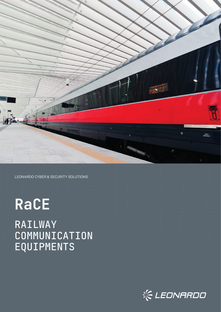

LEONARDO CYBER & SECURITY SOLUTIONS

# **RaCE**

# RAILWAY COMMUNICATION EQUIPMENTS



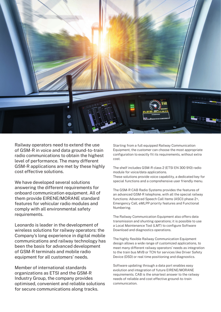

Railway operators need to extend the use of GSM-R in voice and data ground-to-train radio communications to obtain the highest level of performance. The many different GSM-R applications are met by these highly cost effective solutions.

We have developed several solutions answering the different requirements for onboard communication equipment. All of them provide EIRENE/MORANE standard features for vehicular radio modules and comply with all environmental safety requirements.

Leonardo is leader in the development of wireless solutions for railway operators: the Company's long experience in digital mobile communications and railway technology has been the basis for advanced development of GSM-R terminals and mobile radio equipment for all customers' needs.

Member of international standards organizations as ETSI and the GSM-R Industry Group, the company provides optimised, convenient and reliable solutions for secure communications along tracks.

Starting from a full equipped Railway Communication Equipment, the customer can choose the most appropriate configuration to exactly fit its requirements, without extra cost.

The shelf includes GSM-R class 2 (ETSI EN 300 910) radio module for voice/data applications.

These solutions provide voice capability, a dedicated key for special functions and a comprehensive user friendly menu.

The GSM-R CAB Radio Systems provides the features of an advanced GSM-R telephone, with all the special railway functions: Advanced Speech Call Items (ASCI) phase 2+, Emergency Call, eMLPP priority features and Functional Numbering.

The Railway Communication Equipment also offers data transmission and shunting operations; it is possible to use a Local Maintenance Tool (LMT) to configure Software Download and diagnostics operations.

The highly flexible Railway Communication Equipment design allows a wide range of customized applications, to meet many different railway operators' needs as integration to the train bus MVB or TCN for services like Driver Safety Device (DSD) or real time positioning and diagnostics.

Software updating through a data port enables easy evolution and integration of future EIRENE/MORANE requirements. CAB is the smartest answer to the railway needs of reliable and cost effective ground-to-train communication.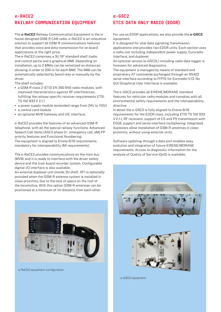## e-RACE2 RAILWAY COMMUNICATION EQUIPMENT

The **e-RaCE2** Railway Communication Equipment is the in house designed GSM-R CAB radio, e-RaCE2 is an innovative solution to support all GSM-R communications features that provides voice and data transmission for on board applications at the right price.

The e-RaCE2 comprises a 3U 19" standard shelf (radio and control parts) and a graphical MMI. Depending on installation, up to 2 MMIs can be remotized on distances allowing in order to 200 m for each MMI. The MMI can be automatically selected by bench-key or manually by the driver.

The shelf includes:

- **•** a GSM-R class 2 (ETSI EN 300 910) radio modules, with improved characteristics against RF interferences, fulfilling the railway specific receiver requirements ETSI TS 102 933 V 2.1.1
- **•** a power supply module (extended range from 24V to 110V)
- **•** a control card module
- **•** an optional MVB Gateway and UIC interface.

e-RaCE2 provides the features of an advanced GSM-R telephone, with all the special railway functions: Advanced Speech Call Items (ASCI) phase 2+, emergency call, eMLPP priority features and Functional Numbering. The equipment is aligned to Eirene 8/16 requirements

mandatory for interoperability (MI requirements).

The e-RaCE2 provides communications on the train bus (MVB) and it is ready to interface with the driver safety device and the train board recorder system. Configurable digital I/O interface is also available.

An external duplexer unit (inside 3U shelf, 19") is optionally provided when the GSM-R antenna system is installed in close proximity, due to the lack of space on the roof of the locomotive. With this option GSM-R antennas can be positioned at a minimum of 1m distance from each other.



e-RaCE2 equipment configuration

#### e-GSC2 ETCS DATA ONLY RADIO (EDOR)

For use as EDOR applications, we also provide the **e-GSC2** equipment.

It is designed for vital data signaling transmission applications and provides two EDOR units. Each section uses a radio unit including independent power supply, Euroradio Interface, and duplexer.

An optional version (e-GSC2L) including radio data logger is foreseen for advanced diagnostics.

The equipment is managed by means of standard and proprietary AT commands exchanged through an RS422 serial interface according to FFFIS for Euroradio V.13. No GUI (Graphical User Interface) is available.

The e-GSC2 provides all EIRENE/MORANE standard features for vehicular radio modules and complies with all environmental safety requirements and the interoperability directive.

In detail the e-GSC2 is fully aligned to Eirene 8/16 requirements for the EDOR class, including ETSI TS 102 933 V 2.1.1, RF receivers, support of CS and PS transmission with EDGE support and serial interface multiplexing. Integrated duplexers allow installation of GSM-R antennas in close proximity, without using external units.

Software updating through a data port enables easy evolution and integration of future EIRENE/MORANE requirements. Access to diagnostic information for the analysis of Quality of Service (QoS) is available.



e-GSC2 equipment